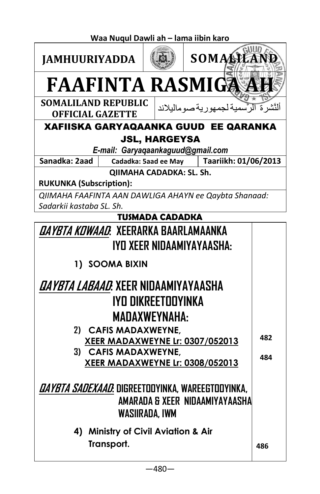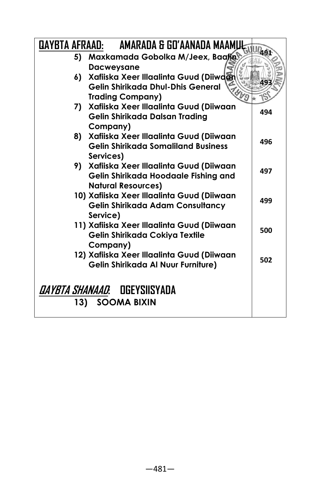| <b>DAYBTA AFRAAD: AMARADA &amp; GO'AANADA MAAMULATI</b>                           | $\n  \, \iota_{91}$ |
|-----------------------------------------------------------------------------------|---------------------|
| 5) Maxkamada Gobolka M/Jeex, Baaffa                                               |                     |
| <b>Dacweysane</b>                                                                 |                     |
| Xafiiska Xeer Illaalinta Guud (Diiwdar<br>6)                                      | 49.                 |
| Gelin Shirikada Dhul-Dhis General                                                 |                     |
| <b>Trading Company)</b>                                                           |                     |
| 7) Xafiiska Xeer Illaalinta Guud (Diiwaan                                         | 494                 |
| Gelin Shirikada Dalsan Trading                                                    |                     |
| Company)                                                                          |                     |
| 8) Xafiiska Xeer Illaalinta Guud (Diiwaan                                         | 496                 |
| <b>Gelin Shirikada Somaliland Business</b>                                        |                     |
| Services)                                                                         |                     |
| 9) Xafiiska Xeer Illaalinta Guud (Diiwaan<br>Gelin Shirikada Hoodaale Fishing and | 497                 |
| <b>Natural Resources)</b>                                                         |                     |
| 10) Xafiiska Xeer Illaalinta Guud (Diiwaan                                        |                     |
| <b>Gelin Shirikada Adam Consultancy</b>                                           | 499                 |
| Service)                                                                          |                     |
| 11) Xafiiska Xeer Illaalinta Guud (Diiwaan                                        |                     |
| Gelin Shirikada Cokiya Textile                                                    | 500                 |
| Company)                                                                          |                     |
| 12) Xafiiska Xeer Illaalinta Guud (Diiwaan                                        |                     |
| Gelin Shirikada Al Nuur Furniture)                                                | 502                 |
|                                                                                   |                     |
|                                                                                   |                     |
| 13) SOOMA BIXIN                                                                   |                     |
|                                                                                   |                     |
|                                                                                   |                     |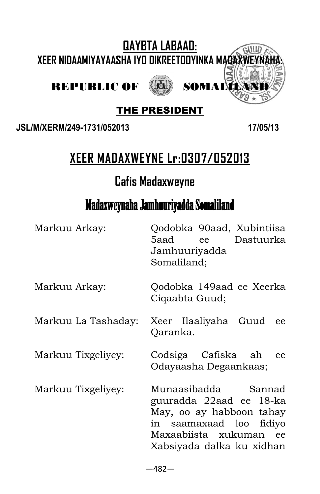

#### THE PRESIDENT

**JSL/M/XERM/249-1731/052013 17/05/13**

# **XEER MADAXWEYNE Lr:0307/052013**

# **Cafis Madaxweyne**

# Madaxweynaha Jamhuuriyadda Somaliland

| Markuu Arkay:       | Qodobka 90aad, Xubintiisa<br>5aad ee Dastuurka<br>Jamhuuriyadda<br>Somaliland;                                                                               |
|---------------------|--------------------------------------------------------------------------------------------------------------------------------------------------------------|
| Markuu Arkay:       | Qodobka 149aad ee Xeerka<br>Ciqaabta Guud;                                                                                                                   |
| Markuu La Tashaday: | Xeer Ilaaliyaha Guud<br>ee.<br>Qaranka.                                                                                                                      |
| Markuu Tixgeliyey:  | Codsiga Cafiska ah ee<br>Odayaasha Degaankaas;                                                                                                               |
| Markuu Tixgeliyey:  | Munaasibadda Sannad<br>guuradda 22aad ee 18-ka<br>May, oo ay habboon tahay<br>in saamaxaad loo fidiyo<br>Maxaabiista xukuman ee<br>Xabsiyada dalka ku xidhan |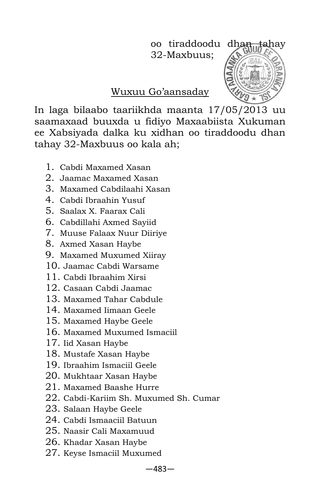oo tiraddoodu dhan tahay 32-Maxbuus;



#### Wuxuu Go'aansaday

In laga bilaabo taariikhda maanta 17/05/2013 uu saamaxaad buuxda u fidiyo Maxaabiista Xukuman ee Xabsiyada dalka ku xidhan oo tiraddoodu dhan tahay 32-Maxbuus oo kala ah;

- 1. Cabdi Maxamed Xasan
- 2. Jaamac Maxamed Xasan
- 3. Maxamed Cabdilaahi Xasan
- 4. Cabdi Ibraahin Yusuf
- 5. Saalax X. Faarax Cali
- 6. Cabdillahi Axmed Sayiid
- 7. Muuse Falaax Nuur Diiriye
- 8. Axmed Xasan Haybe
- 9. Maxamed Muxumed Xiiray
- 10. Jaamac Cabdi Warsame
- 11. Cabdi Ibraahim Xirsi
- 12. Casaan Cabdi Jaamac
- 13. Maxamed Tahar Cabdule
- 14. Maxamed Iimaan Geele
- 15. Maxamed Haybe Geele
- 16. Maxamed Muxumed Ismaciil
- 17. Iid Xasan Haybe
- 18. Mustafe Xasan Haybe
- 19. Ibraahim Ismaciil Geele
- 20. Mukhtaar Xasan Haybe
- 21. Maxamed Baashe Hurre
- 22. Cabdi-Kariim Sh. Muxumed Sh. Cumar
- 23. Salaan Haybe Geele
- 24. Cabdi Ismaaciil Batuun
- 25. Naasir Cali Maxamuud
- 26. Khadar Xasan Haybe
- 27. Keyse Ismaciil Muxumed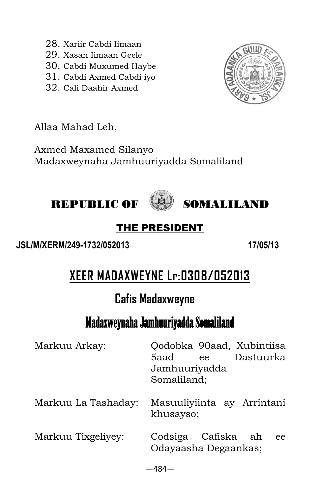—484—

- 28. Xariir Cabdi Iimaan
- 29. Xasan Iimaan Geele
- 30. Cabdi Muxumed Haybe
- 31. Cabdi Axmed Cabdi iyo
- 32. Cali Daahir Axmed

Allaa Mahad Leh,

Axmed Maxamed Silanyo Madaxweynaha Jamhuuriyadda Somaliland

REPUBLIC OF SOMALILAND

## THE PRESIDENT

**JSL/M/XERM/249-1732/052013 17/05/13**

**XEER MADAXWEYNE Lr:0308/052013** 

# **Cafis Madaxweyne**

# Madaxweynaha Jamhuuriyadda Somaliland

| Markuu Arkay:       | Qodobka 90aad, Xubintiisa<br>Dastuurka<br>5aad<br>ee |
|---------------------|------------------------------------------------------|
|                     | Jamhuuriyadda                                        |
|                     | Somaliland;                                          |
| Markuu La Tashaday: | Masuuliyiinta ay Arrintani<br>khusayso;              |
| Markuu Tixgeliyey:  | Codsiga Cafiska ah<br>ee<br>Odayaasha Degaankas;     |

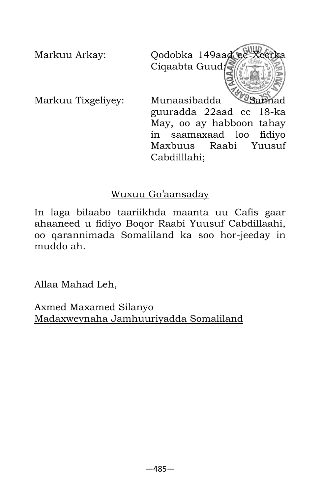Markuu Arkay: Qodobka 149aad e<sup>guup</sup>eerka Ciqaabta Guud;

Markuu Tixgeliyey: Munaasibadda Sannad

guuradda 22aad ee 18-ka May, oo ay habboon tahay in saamaxaad loo fidiyo Maxbuus Raabi Yuusuf Cabdilllahi;

#### Wuxuu Go'aansaday

In laga bilaabo taariikhda maanta uu Cafis gaar ahaaneed u fidiyo Boqor Raabi Yuusuf Cabdillaahi, oo qarannimada Somaliland ka soo hor-jeeday in muddo ah.

Allaa Mahad Leh,

Axmed Maxamed Silanyo Madaxweynaha Jamhuuriyadda Somaliland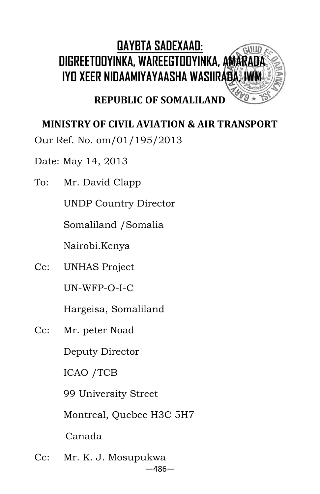# **QAYBTA SADEXAAD: DIGREETOOYINKA, WAREEGTOOYINKA, AMARI IYO XEER NIDAAMIYAYAASHA WASIIRADA, IWM**



## **REPUBLIC OF SOMALILAND**

## **MINISTRY OF CIVIL AVIATION & AIR TRANSPORT**

Our Ref. No. om/01/195/2013

- Date: May 14, 2013
- To: Mr. David Clapp

UNDP Country Director

Somaliland /Somalia

Nairobi.Kenya

Cc: UNHAS Project

UN-WFP-O-I-C

Hargeisa, Somaliland

Cc: Mr. peter Noad

Deputy Director

ICAO /TCB

99 University Street

Montreal, Quebec H3C 5H7

Canada

—486— Cc: Mr. K. J. Mosupukwa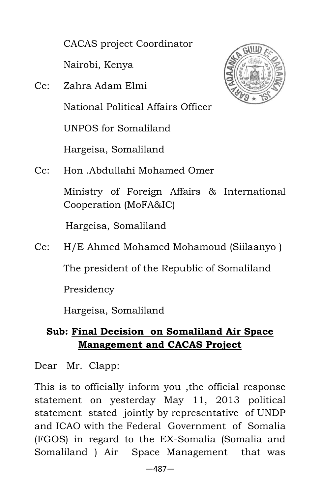CACAS project Coordinator

Nairobi, Kenya

Cc: Zahra Adam Elmi

National Political Affairs Officer

UNPOS for Somaliland

Hargeisa, Somaliland



Cc: Hon .Abdullahi Mohamed Omer

Ministry of Foreign Affairs & International Cooperation (MoFA&IC)

Hargeisa, Somaliland

Cc: H/E Ahmed Mohamed Mohamoud (Siilaanyo ) The president of the Republic of Somaliland Presidency

Hargeisa, Somaliland

#### **Sub: Final Decision on Somaliland Air Space Management and CACAS Project**

Dear Mr. Clapp:

This is to officially inform you ,the official response statement on yesterday May 11, 2013 political statement stated jointly by representative of UNDP and ICAO with the Federal Government of Somalia (FGOS) in regard to the EX-Somalia (Somalia and Somaliland ) Air Space Management that was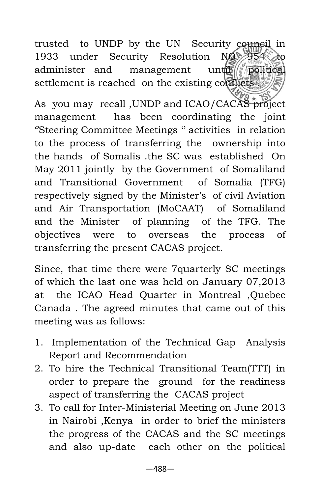trusted to UNDP by the UN Security council in 1933 under Security Resolution NO 954 administer and management until political settlement is reached on the existing conflicts.

As you may recall , UNDP and ICAO/CACAS project management has been coordinating the joint ''Steering Committee Meetings '' activities in relation to the process of transferring the ownership into the hands of Somalis .the SC was established On May 2011 jointly by the Government of Somaliland and Transitional Government of Somalia (TFG) respectively signed by the Minister's of civil Aviation and Air Transportation (MoCAAT) of Somaliland and the Minister of planning of the TFG. The objectives were to overseas the process of transferring the present CACAS project.

Since, that time there were 7quarterly SC meetings of which the last one was held on January 07,2013 at the ICAO Head Quarter in Montreal ,Quebec Canada . The agreed minutes that came out of this meeting was as follows:

- 1. Implementation of the Technical Gap Analysis Report and Recommendation
- 2. To hire the Technical Transitional Team(TTT) in order to prepare the ground for the readiness aspect of transferring the CACAS project
- 3. To call for Inter-Ministerial Meeting on June 2013 in Nairobi ,Kenya in order to brief the ministers the progress of the CACAS and the SC meetings and also up-date each other on the political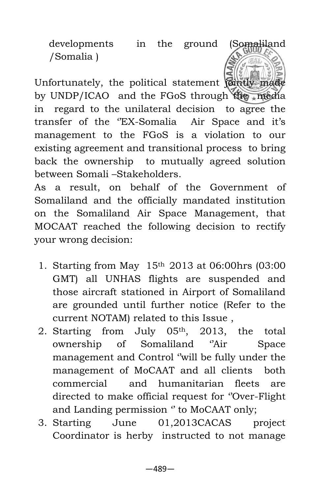developments in the ground (Somaliland /Somalia )



Unfortunately, the political statement ontly made by UNDP/ICAO and the FGoS through  $\frac{d\phi}{d\phi}$  media in regard to the unilateral decision to agree the transfer of the ''EX-Somalia Air Space and it's management to the FGoS is a violation to our existing agreement and transitional process to bring back the ownership to mutually agreed solution between Somali –Stakeholders.

As a result, on behalf of the Government of Somaliland and the officially mandated institution on the Somaliland Air Space Management, that MOCAAT reached the following decision to rectify your wrong decision:

- 1. Starting from May 15th 2013 at 06:00hrs (03:00 GMT) all UNHAS flights are suspended and those aircraft stationed in Airport of Somaliland are grounded until further notice (Refer to the current NOTAM) related to this Issue ,
- 2. Starting from July 05th, 2013, the total ownership of Somaliland ''Air Space management and Control ''will be fully under the management of MoCAAT and all clients both commercial and humanitarian fleets are directed to make official request for "Over-Flight and Landing permission '' to MoCAAT only;
- 3. Starting June 01,2013CACAS project Coordinator is herby instructed to not manage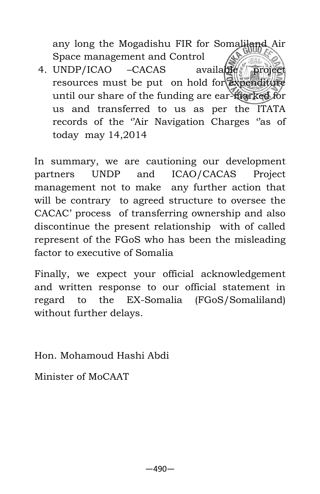any long the Mogadishu FIR for Somaliland Air Space management and Control

4. UNDP/ICAO –CACAS available project resources must be put on hold for **expenditure** until our share of the funding are ear-marked for us and transferred to us as per the ITATA records of the "Air Navigation Charges "as of today may 14,2014

In summary, we are cautioning our development partners UNDP and ICAO/CACAS Project management not to make any further action that will be contrary to agreed structure to oversee the CACAC' process of transferring ownership and also discontinue the present relationship with of called represent of the FGoS who has been the misleading factor to executive of Somalia

Finally, we expect your official acknowledgement and written response to our official statement in regard to the EX-Somalia (FGoS/Somaliland) without further delays.

Hon. Mohamoud Hashi Abdi

Minister of MoCAAT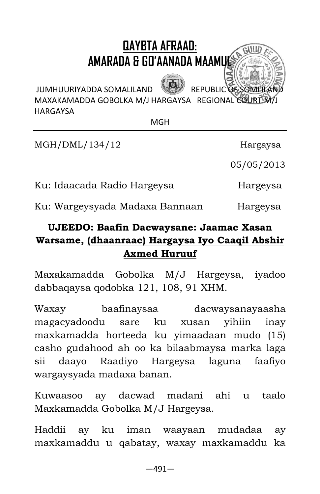

| <b>HARGAYSA</b>                |            |
|--------------------------------|------------|
| MGH                            |            |
| MGH/DML/134/12                 | Hargaysa   |
|                                | 05/05/2013 |
| Ku: Idaacada Radio Hargeysa    | Hargeysa   |
| Ku: Wargeysyada Madaxa Bannaan | Hargeysa   |

## **UJEEDO: Baafin Dacwaysane: Jaamac Xasan Warsame, (dhaanraac) Hargaysa Iyo Caaqil Abshir Axmed Huruuf**

Maxakamadda Gobolka M/J Hargeysa, iyadoo dabbaqaysa qodobka 121, 108, 91 XHM.

Waxay baafinaysaa dacwaysanayaasha magacyadoodu sare ku xusan yihiin inay maxkamadda horteeda ku yimaadaan mudo (15) casho gudahood ah oo ka bilaabmaysa marka laga sii daayo Raadiyo Hargeysa laguna faafiyo wargaysyada madaxa banan.

Kuwaasoo ay dacwad madani ahi u taalo Maxkamadda Gobolka M/J Hargeysa.

Haddii ay ku iman waayaan mudadaa ay maxkamaddu u qabatay, waxay maxkamaddu ka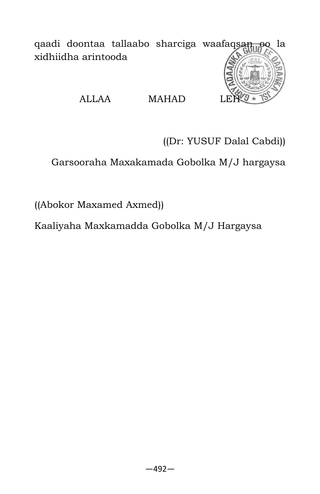

#### ALLAA MAHAD

((Dr: YUSUF Dalal Cabdi))

Garsooraha Maxakamada Gobolka M/J hargaysa

((Abokor Maxamed Axmed))

Kaaliyaha Maxkamadda Gobolka M/J Hargaysa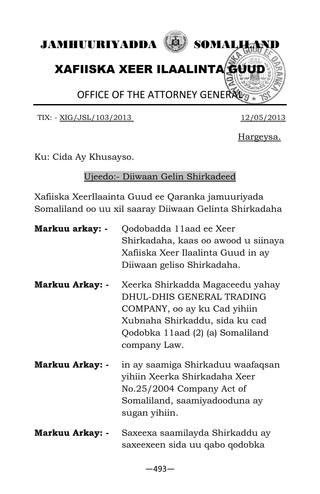

TIX: - XIG/JSL/103/2013 12/05/2013

Hargeysa.

Ku: Cida Ay Khusayso.

#### Ujeedo:- Diiwaan Gelin Shirkadeed

Xafiiska XeerIlaainta Guud ee Qaranka jamuuriyada Somaliland oo uu xil saaray Diiwaan Gelinta Shirkadaha

| Markuu arkay: -        | Qodobadda 11aad ee Xeer<br>Shirkadaha, kaas oo awood u siinaya<br>Xafiiska Xeer Ilaalinta Guud in ay<br>Diiwaan geliso Shirkadaha.                                                  |
|------------------------|-------------------------------------------------------------------------------------------------------------------------------------------------------------------------------------|
| <b>Markuu Arkay: -</b> | Xeerka Shirkadda Magaceedu yahay<br>DHUL-DHIS GENERAL TRADING<br>COMPANY, oo ay ku Cad yihiin<br>Xubnaha Shirkaddu, sida ku cad<br>Qodobka 11aad (2) (a) Somaliland<br>company Law. |
| Markuu Arkay: -        | in ay saamiga Shirkaduu waafaqsan<br>yihiin Xeerka Shirkadaha Xeer<br>No.25/2004 Company Act of<br>Somaliland, saamiyadooduna ay<br>sugan yihiin.                                   |
|                        | .                                                                                                                                                                                   |

**Markuu Arkay: -** Saxeexa saamilayda Shirkaddu ay saxeexeen sida uu qabo qodobka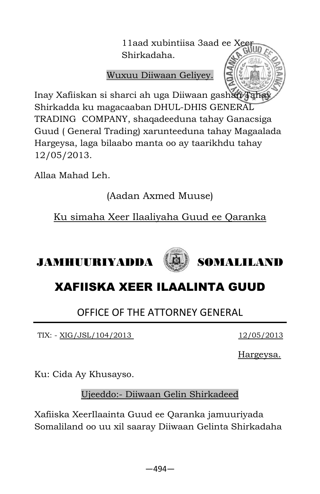11aad xubintiisa 3aad ee Xeer Shirkadaha.

Wuxuu Diiwaan Geliyey.

Inay Xafiiskan si sharci ah uga Diiwaan gashan Taha Shirkadda ku magacaaban DHUL-DHIS GENERAL TRADING COMPANY, shaqadeeduna tahay Ganacsiga Guud ( General Trading) xarunteeduna tahay Magaalada Hargeysa, laga bilaabo manta oo ay taarikhdu tahay 12/05/2013.

Allaa Mahad Leh.

(Aadan Axmed Muuse)

Ku simaha Xeer Ilaaliyaha Guud ee Qaranka

# XAFIISKA XEER ILAALINTA GUUD

## OFFICE OF THE ATTORNEY GENERAL

TIX: - XIG/JSL/104/2013 12/05/2013

Hargeysa.

Ku: Cida Ay Khusayso.

Ujeeddo:- Diiwaan Gelin Shirkadeed



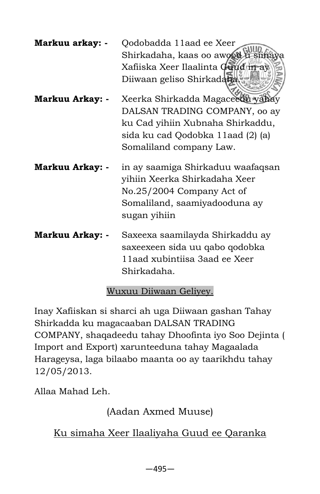| Markuu arkay: - Qodobadda 11aad ee Xeer |
|-----------------------------------------|
| Shirkadaha, kaas oo awood ta siinaya    |
| Xafiiska Xeer Ilaalinta Guild in ay     |
| Diiwaan geliso Shirkadaha               |

- **Markuu Arkay: -** Xeerka Shirkadda Magaceedu yahay DALSAN TRADING COMPANY, oo ay ku Cad yihiin Xubnaha Shirkaddu, sida ku cad Qodobka 11aad (2) (a) Somaliland company Law.
- **Markuu Arkay: -** in ay saamiga Shirkaduu waafaqsan yihiin Xeerka Shirkadaha Xeer No.25/2004 Company Act of Somaliland, saamiyadooduna ay sugan yihiin
- **Markuu Arkay: -** Saxeexa saamilayda Shirkaddu ay saxeexeen sida uu qabo qodobka 11aad xubintiisa 3aad ee Xeer Shirkadaha.

#### Wuxuu Diiwaan Geliyey.

Inay Xafiiskan si sharci ah uga Diiwaan gashan Tahay Shirkadda ku magacaaban DALSAN TRADING COMPANY, shaqadeedu tahay Dhoofinta iyo Soo Dejinta ( Import and Export) xarunteeduna tahay Magaalada Harageysa, laga bilaabo maanta oo ay taarikhdu tahay 12/05/2013.

Allaa Mahad Leh.

(Aadan Axmed Muuse)

Ku simaha Xeer Ilaaliyaha Guud ee Qaranka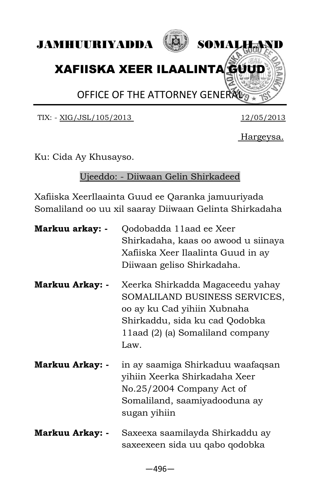



## XAFIISKA XEER ILAALINTA GUUD

OFFICE OF THE ATTORNEY GENERAL

TIX: - XIG/JSL/105/2013 12/05/2013

Hargeysa.

Ku: Cida Ay Khusayso.

#### Ujeeddo: - Diiwaan Gelin Shirkadeed

| Markuu arkay: -        | Qodobadda 11aad ee Xeer<br>Shirkadaha, kaas oo awood u siinaya<br>Xafiiska Xeer Ilaalinta Guud in ay<br>Diiwaan geliso Shirkadaha.                                             |
|------------------------|--------------------------------------------------------------------------------------------------------------------------------------------------------------------------------|
| <b>Markuu Arkay: -</b> | Xeerka Shirkadda Magaceedu yahay<br>SOMALILAND BUSINESS SERVICES,<br>oo ay ku Cad yihiin Xubnaha<br>Shirkaddu, sida ku cad Qodobka<br>11aad (2) (a) Somaliland company<br>Law. |
| Markuu Arkay: -        | in ay saamiga Shirkaduu waafaqsan<br>yihiin Xeerka Shirkadaha Xeer<br>No.25/2004 Company Act of<br>Somaliland, saamiyadooduna ay<br>sugan yihiin                               |
| <b>Markuu Arkay: -</b> | Saxeexa saamilayda Shirkaddu ay<br>saxeexeen sida uu qabo qodobka                                                                                                              |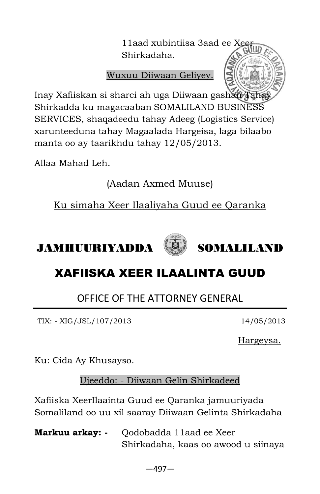11aad xubintiisa 3aad ee Xeer Shirkadaha.

Wuxuu Diiwaan Geliyey.

Inay Xafiiskan si sharci ah uga Diiwaan gashan Taha Shirkadda ku magacaaban SOMALILAND BUSINESS SERVICES, shaqadeedu tahay Adeeg (Logistics Service) xarunteeduna tahay Magaalada Hargeisa, laga bilaabo manta oo ay taarikhdu tahay 12/05/2013.

Allaa Mahad Leh.

(Aadan Axmed Muuse)

Ku simaha Xeer Ilaaliyaha Guud ee Qaranka

XAFIISKA XEER ILAALINTA GUUD

## OFFICE OF THE ATTORNEY GENERAL

TIX: - XIG/JSL/107/2013 14/05/2013

Hargeysa.

Ku: Cida Ay Khusayso.

Ujeeddo: - Diiwaan Gelin Shirkadeed

| <b>Markuu arkay:</b> - Qodobadda 11aad ee Xeer |
|------------------------------------------------|
| Shirkadaha, kaas oo awood u siinaya            |



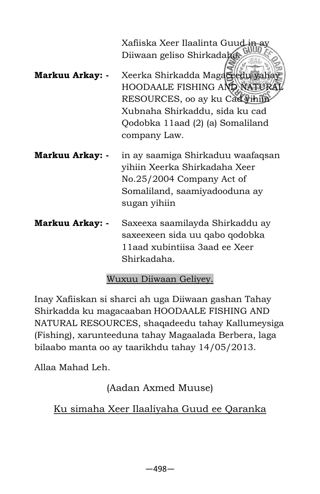Xafiiska Xeer Ilaalinta Guud i<del>n</del> Diiwaan geliso Shirkadaha.

- **Markuu Arkay: -** Xeerka Shirkadda Magaceedu yahay HOODAALE FISHING AND NATURA RESOURCES, oo ay ku Cad Vihiin Xubnaha Shirkaddu, sida ku cad Qodobka 11aad (2) (a) Somaliland company Law.
- **Markuu Arkay: -** in ay saamiga Shirkaduu waafaqsan yihiin Xeerka Shirkadaha Xeer No.25/2004 Company Act of Somaliland, saamiyadooduna ay sugan yihiin
- **Markuu Arkay: -** Saxeexa saamilayda Shirkaddu ay saxeexeen sida uu qabo qodobka 11aad xubintiisa 3aad ee Xeer Shirkadaha.

#### Wuxuu Diiwaan Geliyey.

Inay Xafiiskan si sharci ah uga Diiwaan gashan Tahay Shirkadda ku magacaaban HOODAALE FISHING AND NATURAL RESOURCES, shaqadeedu tahay Kallumeysiga (Fishing), xarunteeduna tahay Magaalada Berbera, laga bilaabo manta oo ay taarikhdu tahay 14/05/2013.

Allaa Mahad Leh.

(Aadan Axmed Muuse)

Ku simaha Xeer Ilaaliyaha Guud ee Qaranka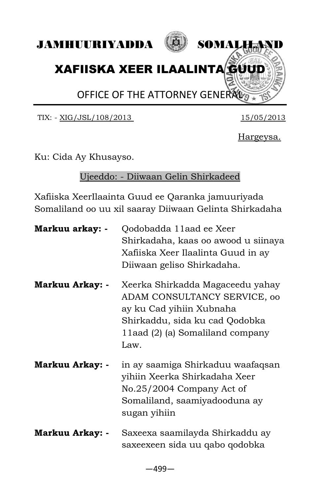

TIX: - XIG/JSL/108/2013 15/05/2013

Hargeysa.

Ku: Cida Ay Khusayso.

Ujeeddo: - Diiwaan Gelin Shirkadeed

| Markuu arkay: -        | Qodobadda 11aad ee Xeer<br>Shirkadaha, kaas oo awood u siinaya<br>Xafiiska Xeer Ilaalinta Guud in ay<br>Diiwaan geliso Shirkadaha.                                         |
|------------------------|----------------------------------------------------------------------------------------------------------------------------------------------------------------------------|
| <b>Markuu Arkay: -</b> | Xeerka Shirkadda Magaceedu yahay<br>ADAM CONSULTANCY SERVICE, 00<br>ay ku Cad yihiin Xubnaha<br>Shirkaddu, sida ku cad Qodobka<br>11aad (2) (a) Somaliland company<br>Law. |
| <b>Markuu Arkay: -</b> | in ay saamiga Shirkaduu waafaqsan<br>yihiin Xeerka Shirkadaha Xeer<br>No.25/2004 Company Act of<br>Somaliland, saamiyadooduna ay<br>sugan yihiin                           |
| <b>Markuu Arkay: -</b> | Saxeexa saamilayda Shirkaddu ay<br>saxeexeen sida uu qabo qodobka                                                                                                          |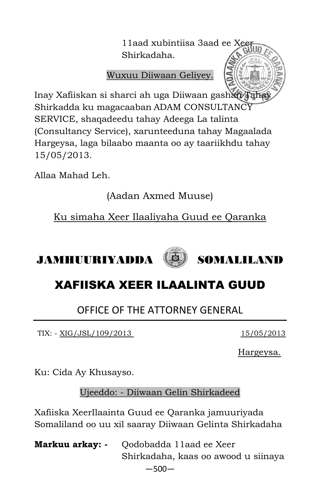11aad xubintiisa 3aad ee Xeer Shirkadaha.

Wuxuu Diiwaan Geliyey.

Inay Xafiiskan si sharci ah uga Diiwaan gashan Ta Shirkadda ku magacaaban ADAM CONSULTANCY SERVICE, shaqadeedu tahay Adeega La talinta (Consultancy Service), xarunteeduna tahay Magaalada Hargeysa, laga bilaabo maanta oo ay taariikhdu tahay 15/05/2013.

Allaa Mahad Leh.

(Aadan Axmed Muuse)

Ku simaha Xeer Ilaaliyaha Guud ee Qaranka

JAMHUURIYADDA **(22)** SOMALILAND

# XAFIISKA XEER ILAALINTA GUUD

## OFFICE OF THE ATTORNEY GENERAL

TIX: - XIG/JSL/109/2013 15/05/2013

Hargeysa.

Ku: Cida Ay Khusayso.

Ujeeddo: - Diiwaan Gelin Shirkadeed

Xafiiska XeerIlaainta Guud ee Qaranka jamuuriyada Somaliland oo uu xil saaray Diiwaan Gelinta Shirkadaha

—500— **Markuu arkay: -** Qodobadda 11aad ee Xeer Shirkadaha, kaas oo awood u siinaya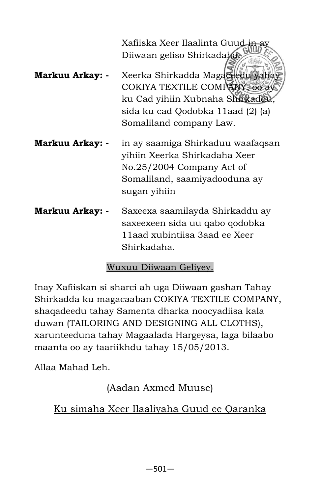Xafiiska Xeer Ilaalinta Guud i<del>n</del> Diiwaan geliso Shirkadaha.

- Markuu Arkay: Xeerka Shirkadda Magaceedu yahay COKIYA TEXTILE COMPANY, oo ay ku Cad yihiin Xubnaha Shirkaddu, sida ku cad Qodobka 11aad (2) (a) Somaliland company Law.
- **Markuu Arkay: -** in ay saamiga Shirkaduu waafaqsan yihiin Xeerka Shirkadaha Xeer No.25/2004 Company Act of Somaliland, saamiyadooduna ay sugan yihiin
- **Markuu Arkay: -** Saxeexa saamilayda Shirkaddu ay saxeexeen sida uu qabo qodobka 11aad xubintiisa 3aad ee Xeer Shirkadaha.

#### Wuxuu Diiwaan Geliyey.

Inay Xafiiskan si sharci ah uga Diiwaan gashan Tahay Shirkadda ku magacaaban COKIYA TEXTILE COMPANY, shaqadeedu tahay Samenta dharka noocyadiisa kala duwan (TAILORING AND DESIGNING ALL CLOTHS), xarunteeduna tahay Magaalada Hargeysa, laga bilaabo maanta oo ay taariikhdu tahay 15/05/2013.

Allaa Mahad Leh.

### (Aadan Axmed Muuse)

#### Ku simaha Xeer Ilaaliyaha Guud ee Qaranka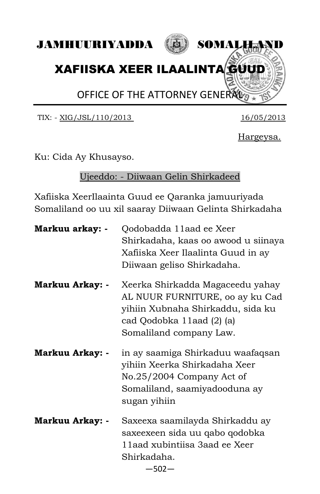



# XAFIISKA XEER ILAALINTA GUUD

OFFICE OF THE ATTORNEY GENERAL

TIX: - XIG/JSL/110/2013 16/05/2013

Hargeysa.

Ku: Cida Ay Khusayso.

Ujeeddo: - Diiwaan Gelin Shirkadeed

| Markuu arkay: -        | Qodobadda 11aad ee Xeer<br>Shirkadaha, kaas oo awood u siinaya<br>Xafiiska Xeer Ilaalinta Guud in ay<br>Diiwaan geliso Shirkadaha.                               |
|------------------------|------------------------------------------------------------------------------------------------------------------------------------------------------------------|
| Markuu Arkay: -        | Xeerka Shirkadda Magaceedu yahay<br>AL NUUR FURNITURE, oo ay ku Cad<br>yihiin Xubnaha Shirkaddu, sida ku<br>cad Qodobka 11aad (2) (a)<br>Somaliland company Law. |
| <b>Markuu Arkay: -</b> | in ay saamiga Shirkaduu waafaqsan<br>yihiin Xeerka Shirkadaha Xeer<br>No.25/2004 Company Act of<br>Somaliland, saamiyadooduna ay<br>sugan yihiin                 |
| <b>Markuu Arkay: -</b> | Saxeexa saamilayda Shirkaddu ay<br>saxeexeen sida uu qabo qodobka<br>11aad xubintiisa 3aad ee Xeer<br>Shirkadaha.<br>$-502-$                                     |